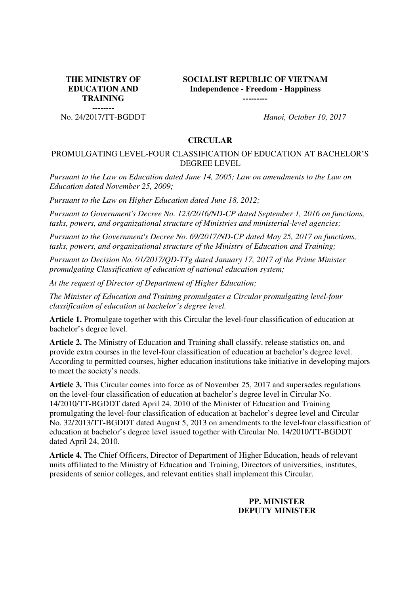**THE MINISTRY OF EDUCATION AND TRAINING --------**

No. 24/2017/TT-BGDDT *Hanoi, October 10, 2017* 

**SOCIALIST REPUBLIC OF VIETNAM Independence - Freedom - Happiness** 

**---------**

#### **CIRCULAR**

### PROMULGATING LEVEL-FOUR CLASSIFICATION OF EDUCATION AT BACHELOR'S DEGREE LEVEL

*Pursuant to the Law on Education dated June 14, 2005; Law on amendments to the Law on Education dated November 25, 2009;*

*Pursuant to the Law on Higher Education dated June 18, 2012;*

*Pursuant to Government's Decree No. 123/2016/ND-CP dated September 1, 2016 on functions, tasks, powers, and organizational structure of Ministries and ministerial-level agencies;*

*Pursuant to the Government's Decree No. 69/2017/ND-CP dated May 25, 2017 on functions, tasks, powers, and organizational structure of the Ministry of Education and Training;*

*Pursuant to Decision No. 01/2017/QD-TTg dated January 17, 2017 of the Prime Minister promulgating Classification of education of national education system;*

*At the request of Director of Department of Higher Education;*

*The Minister of Education and Training promulgates a Circular promulgating level-four classification of education at bachelor's degree level.*

**Article 1.** Promulgate together with this Circular the level-four classification of education at bachelor's degree level.

**Article 2.** The Ministry of Education and Training shall classify, release statistics on, and provide extra courses in the level-four classification of education at bachelor's degree level. According to permitted courses, higher education institutions take initiative in developing majors to meet the society's needs.

**Article 3.** This Circular comes into force as of November 25, 2017 and supersedes regulations on the level-four classification of education at bachelor's degree level in Circular No. 14/2010/TT-BGDDT dated April 24, 2010 of the Minister of Education and Training promulgating the level-four classification of education at bachelor's degree level and Circular No. 32/2013/TT-BGDDT dated August 5, 2013 on amendments to the level-four classification of education at bachelor's degree level issued together with Circular No. 14/2010/TT-BGDDT dated April 24, 2010.

**Article 4.** The Chief Officers, Director of Department of Higher Education, heads of relevant units affiliated to the Ministry of Education and Training, Directors of universities, institutes, presidents of senior colleges, and relevant entities shall implement this Circular.

# **PP. MINISTER DEPUTY MINISTER**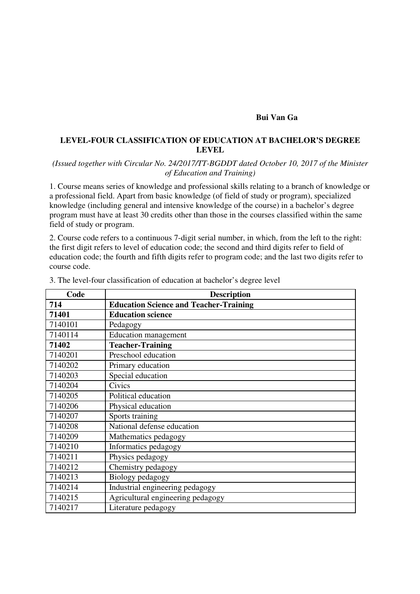### **Bui Van Ga**

# **LEVEL-FOUR CLASSIFICATION OF EDUCATION AT BACHELOR'S DEGREE LEVEL**

### *(Issued together with Circular No. 24/2017/TT-BGDDT dated October 10, 2017 of the Minister of Education and Training)*

1. Course means series of knowledge and professional skills relating to a branch of knowledge or a professional field. Apart from basic knowledge (of field of study or program), specialized knowledge (including general and intensive knowledge of the course) in a bachelor's degree program must have at least 30 credits other than those in the courses classified within the same field of study or program.

2. Course code refers to a continuous 7-digit serial number, in which, from the left to the right: the first digit refers to level of education code; the second and third digits refer to field of education code; the fourth and fifth digits refer to program code; and the last two digits refer to course code.

| Code    | <b>Description</b>                            |
|---------|-----------------------------------------------|
| 714     | <b>Education Science and Teacher-Training</b> |
| 71401   | <b>Education science</b>                      |
| 7140101 | Pedagogy                                      |
| 7140114 | Education management                          |
| 71402   | <b>Teacher-Training</b>                       |
| 7140201 | Preschool education                           |
| 7140202 | Primary education                             |
| 7140203 | Special education                             |
| 7140204 | Civics                                        |
| 7140205 | Political education                           |
| 7140206 | Physical education                            |
| 7140207 | Sports training                               |
| 7140208 | National defense education                    |
| 7140209 | Mathematics pedagogy                          |
| 7140210 | Informatics pedagogy                          |
| 7140211 | Physics pedagogy                              |
| 7140212 | Chemistry pedagogy                            |
| 7140213 | Biology pedagogy                              |
| 7140214 | Industrial engineering pedagogy               |
| 7140215 | Agricultural engineering pedagogy             |
| 7140217 | Literature pedagogy                           |

3. The level-four classification of education at bachelor's degree level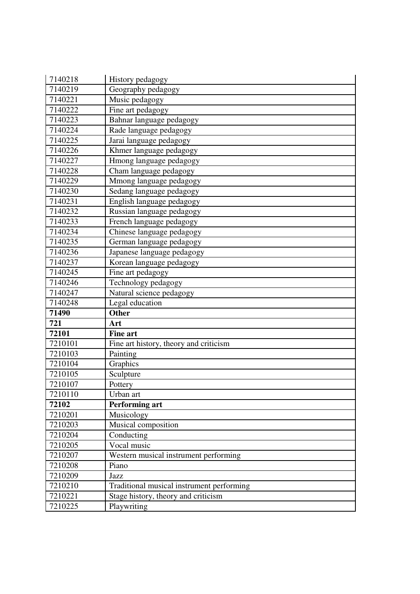| 7140218            | History pedagogy                                   |
|--------------------|----------------------------------------------------|
| 7140219            | Geography pedagogy                                 |
| 7140221            | Music pedagogy                                     |
| 7140222            | Fine art pedagogy                                  |
| 7140223            | Bahnar language pedagogy                           |
| 7140224            | Rade language pedagogy                             |
| 7140225            | Jarai language pedagogy                            |
| 7140226            | Khmer language pedagogy                            |
| 7140227            | Hmong language pedagogy                            |
| 7140228            | Cham language pedagogy                             |
| 7140229            | Mmong language pedagogy                            |
| 7140230            | Sedang language pedagogy                           |
| 7140231            | English language pedagogy                          |
| 7140232            | Russian language pedagogy                          |
| 7140233            | French language pedagogy                           |
| 7140234            | Chinese language pedagogy                          |
| 7140235            | German language pedagogy                           |
| 7140236            | Japanese language pedagogy                         |
| 7140237            | Korean language pedagogy                           |
| 7140245            | Fine art pedagogy                                  |
| 7140246            | Technology pedagogy                                |
| 7140247            | Natural science pedagogy                           |
| 7140248            | Legal education                                    |
| 71490              | <b>Other</b>                                       |
| 721                | Art                                                |
| 72101              | <b>Fine art</b>                                    |
| 7210101            | Fine art history, theory and criticism             |
| 7210103            | Painting                                           |
| 7210104            | Graphics                                           |
| 7210105            | Sculpture                                          |
| 7210107            | Pottery                                            |
| 7210110            | Urban art                                          |
| 72102              | <b>Performing art</b>                              |
| 7210201            | Musicology                                         |
| 7210203            |                                                    |
|                    | Musical composition                                |
| 7210204            | Conducting                                         |
| 7210205            | Vocal music                                        |
| 7210207            | Western musical instrument performing              |
| 7210208            | Piano                                              |
| 7210209            | Jazz                                               |
| 7210210            | Traditional musical instrument performing          |
| 7210221<br>7210225 | Stage history, theory and criticism<br>Playwriting |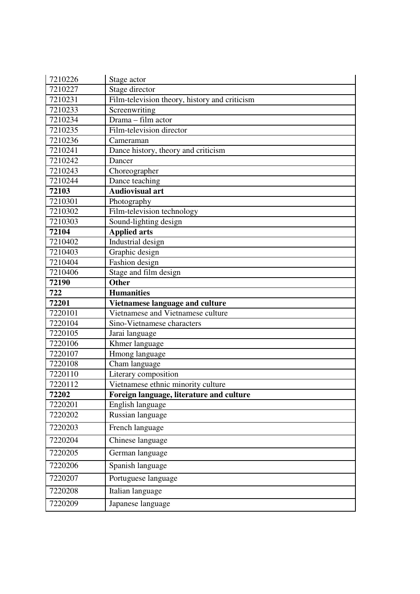| 7210226            | Stage actor                                   |
|--------------------|-----------------------------------------------|
| 7210227            | Stage director                                |
| 7210231            | Film-television theory, history and criticism |
| 7210233            | Screenwriting                                 |
| 7210234            | Drama - film actor                            |
| 7210235            | Film-television director                      |
| 7210236            | Cameraman                                     |
| 7210241            | Dance history, theory and criticism           |
| 7210242            | Dancer                                        |
| 7210243            | Choreographer                                 |
| 7210244            | Dance teaching                                |
| 72103              | <b>Audiovisual art</b>                        |
| 7210301            | Photography                                   |
| 7210302            | Film-television technology                    |
| 7210303            | Sound-lighting design                         |
| 72104              | <b>Applied arts</b>                           |
| 7210402            | Industrial design                             |
| 7210403            | Graphic design                                |
| 7210404            | Fashion design                                |
| 7210406            | Stage and film design                         |
| 72190              | <b>Other</b>                                  |
| 722                | <b>Humanities</b>                             |
|                    |                                               |
| 72201              | Vietnamese language and culture               |
| 7220101            | Vietnamese and Vietnamese culture             |
| 7220104            | Sino-Vietnamese characters                    |
| 7220105            | Jarai language                                |
| 7220106            | Khmer language                                |
| 7220107            | Hmong language                                |
| 7220108            | Cham language                                 |
| 7220110            | Literary composition                          |
| 7220112            | Vietnamese ethnic minority culture            |
| 72202              | Foreign language, literature and culture      |
| 7220201            | English language                              |
| 7220202            | Russian language                              |
| 7220203            | French language                               |
| 7220204            | Chinese language                              |
| 7220205            | German language                               |
| 7220206            | Spanish language                              |
| 7220207            | Portuguese language                           |
| 7220208<br>7220209 | Italian language<br>Japanese language         |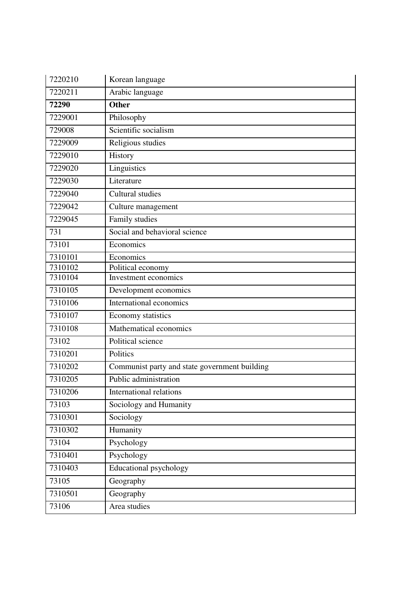| 7220210 | Korean language                               |
|---------|-----------------------------------------------|
| 7220211 | Arabic language                               |
| 72290   | <b>Other</b>                                  |
| 7229001 | Philosophy                                    |
| 729008  | Scientific socialism                          |
| 7229009 | Religious studies                             |
| 7229010 | History                                       |
| 7229020 | Linguistics                                   |
| 7229030 | Literature                                    |
| 7229040 | Cultural studies                              |
| 7229042 | Culture management                            |
| 7229045 | Family studies                                |
| 731     | Social and behavioral science                 |
| 73101   | Economics                                     |
| 7310101 | Economics                                     |
| 7310102 | Political economy                             |
| 7310104 | Investment economics                          |
| 7310105 | Development economics                         |
| 7310106 | International economics                       |
| 7310107 | Economy statistics                            |
| 7310108 | Mathematical economics                        |
| 73102   | Political science                             |
| 7310201 | Politics                                      |
| 7310202 | Communist party and state government building |
| 7310205 | Public administration                         |
| 7310206 | International relations                       |
| 73103   | Sociology and Humanity                        |
| 7310301 | Sociology                                     |
| 7310302 | Humanity                                      |
| 73104   | Psychology                                    |
| 7310401 | Psychology                                    |
| 7310403 | Educational psychology                        |
| 73105   | Geography                                     |
| 7310501 | Geography                                     |
| 73106   | Area studies                                  |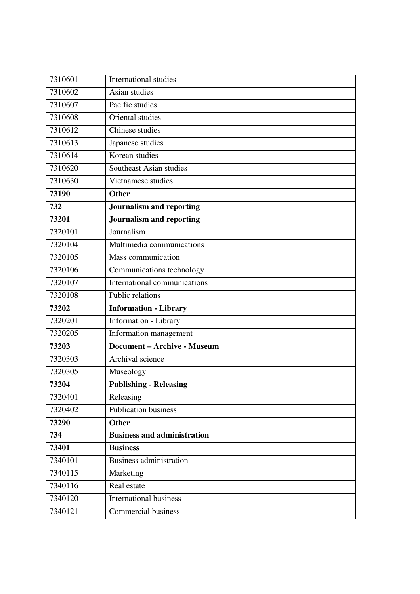| 7310601 | <b>International studies</b>       |
|---------|------------------------------------|
| 7310602 | Asian studies                      |
| 7310607 | Pacific studies                    |
| 7310608 | Oriental studies                   |
| 7310612 | Chinese studies                    |
| 7310613 | Japanese studies                   |
| 7310614 | Korean studies                     |
| 7310620 | Southeast Asian studies            |
| 7310630 | Vietnamese studies                 |
| 73190   | <b>Other</b>                       |
| 732     | Journalism and reporting           |
| 73201   | <b>Journalism and reporting</b>    |
| 7320101 | Journalism                         |
| 7320104 | Multimedia communications          |
| 7320105 | Mass communication                 |
| 7320106 | Communications technology          |
| 7320107 | International communications       |
| 7320108 | Public relations                   |
| 73202   | <b>Information - Library</b>       |
| 7320201 | Information - Library              |
| 7320205 | Information management             |
| 73203   | <b>Document - Archive - Museum</b> |
| 7320303 | Archival science                   |
| 7320305 | Museology                          |
| 73204   | <b>Publishing - Releasing</b>      |
| 7320401 | Releasing                          |
| 7320402 | <b>Publication business</b>        |
| 73290   | <b>Other</b>                       |
| 734     | <b>Business and administration</b> |
| 73401   | <b>Business</b>                    |
| 7340101 | <b>Business administration</b>     |
| 7340115 | Marketing                          |
| 7340116 | Real estate                        |
| 7340120 | <b>International business</b>      |
| 7340121 | Commercial business                |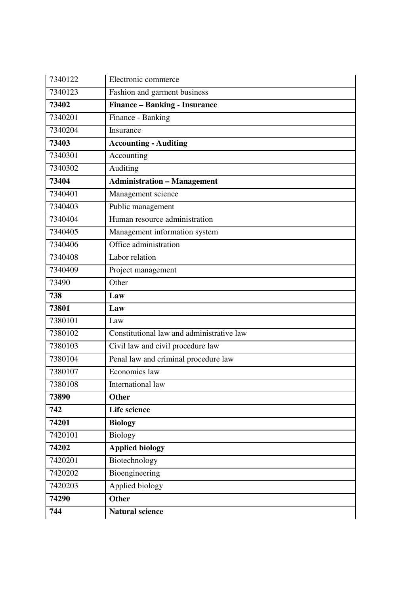| 7340122 | Electronic commerce                       |
|---------|-------------------------------------------|
| 7340123 | Fashion and garment business              |
| 73402   | <b>Finance - Banking - Insurance</b>      |
| 7340201 | Finance - Banking                         |
| 7340204 | Insurance                                 |
| 73403   | <b>Accounting - Auditing</b>              |
| 7340301 | Accounting                                |
| 7340302 | Auditing                                  |
| 73404   | <b>Administration - Management</b>        |
| 7340401 | Management science                        |
| 7340403 | Public management                         |
| 7340404 | Human resource administration             |
| 7340405 | Management information system             |
| 7340406 | Office administration                     |
| 7340408 | Labor relation                            |
| 7340409 | Project management                        |
| 73490   | Other                                     |
| 738     | Law                                       |
| 73801   | Law                                       |
| 7380101 | Law                                       |
| 7380102 | Constitutional law and administrative law |
| 7380103 | Civil law and civil procedure law         |
| 7380104 | Penal law and criminal procedure law      |
| 7380107 | Economics law                             |
| 7380108 | International law                         |
| 73890   | <b>Other</b>                              |
| 742     | <b>Life science</b>                       |
|         |                                           |
| 74201   | <b>Biology</b>                            |
| 7420101 | <b>Biology</b>                            |
| 74202   | <b>Applied biology</b>                    |
| 7420201 | Biotechnology                             |
| 7420202 | Bioengineering                            |
| 7420203 | Applied biology                           |
| 74290   | <b>Other</b>                              |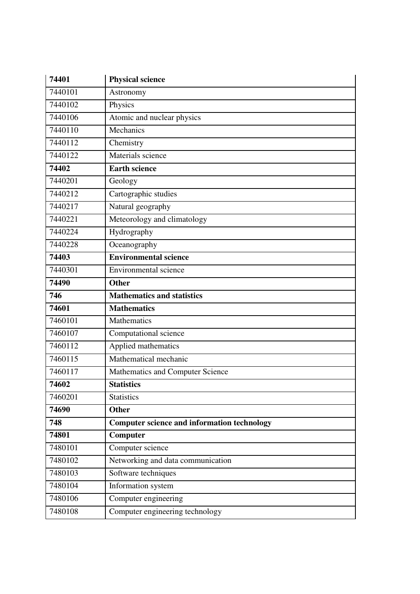| 74401   | <b>Physical science</b>                            |
|---------|----------------------------------------------------|
| 7440101 | Astronomy                                          |
| 7440102 | Physics                                            |
| 7440106 | Atomic and nuclear physics                         |
| 7440110 | Mechanics                                          |
| 7440112 | Chemistry                                          |
| 7440122 | Materials science                                  |
| 74402   | <b>Earth science</b>                               |
| 7440201 | Geology                                            |
| 7440212 | Cartographic studies                               |
| 7440217 | Natural geography                                  |
| 7440221 | Meteorology and climatology                        |
| 7440224 | Hydrography                                        |
| 7440228 | Oceanography                                       |
| 74403   | <b>Environmental science</b>                       |
| 7440301 | <b>Environmental science</b>                       |
| 74490   | <b>Other</b>                                       |
| 746     | <b>Mathematics and statistics</b>                  |
| 74601   | <b>Mathematics</b>                                 |
| 7460101 | <b>Mathematics</b>                                 |
| 7460107 | Computational science                              |
| 7460112 | Applied mathematics                                |
| 7460115 | Mathematical mechanic                              |
| 7460117 | Mathematics and Computer Science                   |
| 74602   | <b>Statistics</b>                                  |
| 7460201 | <b>Statistics</b>                                  |
| 74690   | Other                                              |
| 748     | <b>Computer science and information technology</b> |
| 74801   | Computer                                           |
| 7480101 | Computer science                                   |
| 7480102 | Networking and data communication                  |
| 7480103 | Software techniques                                |
| 7480104 | Information system                                 |
| 7480106 | Computer engineering                               |
| 7480108 | Computer engineering technology                    |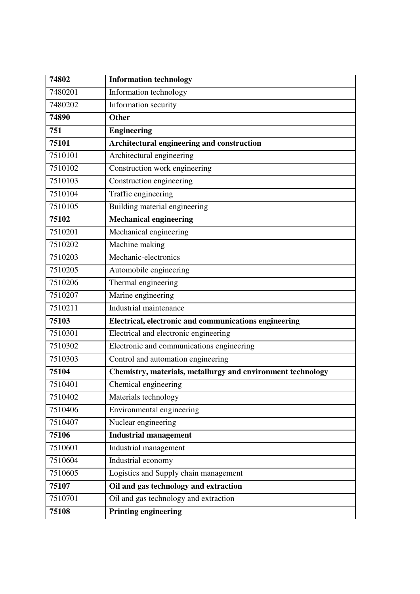| 74802   | <b>Information technology</b>                               |
|---------|-------------------------------------------------------------|
| 7480201 | Information technology                                      |
| 7480202 | Information security                                        |
| 74890   | <b>Other</b>                                                |
| 751     | <b>Engineering</b>                                          |
| 75101   | Architectural engineering and construction                  |
| 7510101 | Architectural engineering                                   |
| 7510102 | Construction work engineering                               |
| 7510103 | Construction engineering                                    |
| 7510104 | Traffic engineering                                         |
| 7510105 | Building material engineering                               |
| 75102   | <b>Mechanical engineering</b>                               |
| 7510201 | Mechanical engineering                                      |
| 7510202 | Machine making                                              |
| 7510203 | Mechanic-electronics                                        |
| 7510205 | Automobile engineering                                      |
| 7510206 | Thermal engineering                                         |
| 7510207 | Marine engineering                                          |
| 7510211 | Industrial maintenance                                      |
| 75103   | Electrical, electronic and communications engineering       |
| 7510301 | Electrical and electronic engineering                       |
| 7510302 | Electronic and communications engineering                   |
| 7510303 | Control and automation engineering                          |
| 75104   | Chemistry, materials, metallurgy and environment technology |
| 7510401 | Chemical engineering                                        |
| 7510402 | Materials technology                                        |
| 7510406 | Environmental engineering                                   |
| 7510407 | Nuclear engineering                                         |
| 75106   | <b>Industrial management</b>                                |
| 7510601 | Industrial management                                       |
| 7510604 | Industrial economy                                          |
| 7510605 | Logistics and Supply chain management                       |
| 75107   | Oil and gas technology and extraction                       |
| 7510701 | Oil and gas technology and extraction                       |
| 75108   | <b>Printing engineering</b>                                 |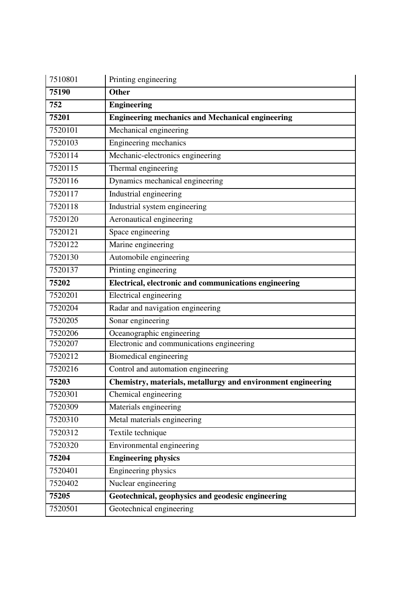| 7510801 | Printing engineering                                         |
|---------|--------------------------------------------------------------|
| 75190   | <b>Other</b>                                                 |
| 752     | <b>Engineering</b>                                           |
| 75201   | <b>Engineering mechanics and Mechanical engineering</b>      |
| 7520101 | Mechanical engineering                                       |
| 7520103 | Engineering mechanics                                        |
| 7520114 | Mechanic-electronics engineering                             |
| 7520115 | Thermal engineering                                          |
| 7520116 | Dynamics mechanical engineering                              |
| 7520117 | Industrial engineering                                       |
| 7520118 | Industrial system engineering                                |
| 7520120 | Aeronautical engineering                                     |
| 7520121 | Space engineering                                            |
| 7520122 | Marine engineering                                           |
| 7520130 | Automobile engineering                                       |
| 7520137 | Printing engineering                                         |
| 75202   | Electrical, electronic and communications engineering        |
| 7520201 | <b>Electrical engineering</b>                                |
| 7520204 | Radar and navigation engineering                             |
| 7520205 | Sonar engineering                                            |
| 7520206 | Oceanographic engineering                                    |
| 7520207 | Electronic and communications engineering                    |
| 7520212 | Biomedical engineering                                       |
| 7520216 | Control and automation engineering                           |
| 75203   | Chemistry, materials, metallurgy and environment engineering |
| 7520301 | Chemical engineering                                         |
| 7520309 | Materials engineering                                        |
| 7520310 | Metal materials engineering                                  |
| 7520312 | Textile technique                                            |
| 7520320 | Environmental engineering                                    |
| 75204   | <b>Engineering physics</b>                                   |
| 7520401 | Engineering physics                                          |
| 7520402 | Nuclear engineering                                          |
| 75205   | Geotechnical, geophysics and geodesic engineering            |
| 7520501 | Geotechnical engineering                                     |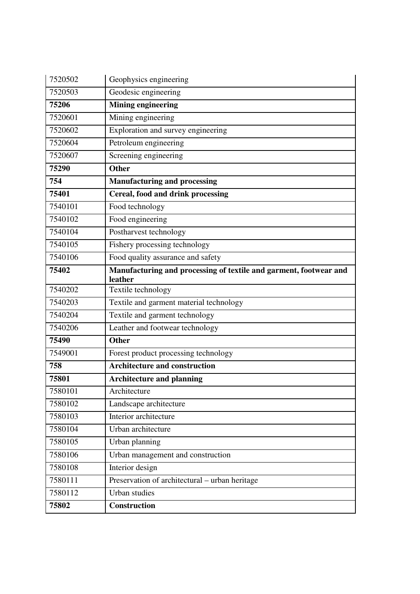| 7520502 | Geophysics engineering                                                       |
|---------|------------------------------------------------------------------------------|
| 7520503 | Geodesic engineering                                                         |
| 75206   | <b>Mining engineering</b>                                                    |
| 7520601 | Mining engineering                                                           |
| 7520602 | Exploration and survey engineering                                           |
| 7520604 | Petroleum engineering                                                        |
| 7520607 | Screening engineering                                                        |
| 75290   | <b>Other</b>                                                                 |
| 754     | <b>Manufacturing and processing</b>                                          |
| 75401   | Cereal, food and drink processing                                            |
| 7540101 | Food technology                                                              |
| 7540102 | Food engineering                                                             |
| 7540104 | Postharvest technology                                                       |
| 7540105 | Fishery processing technology                                                |
| 7540106 | Food quality assurance and safety                                            |
| 75402   | Manufacturing and processing of textile and garment, footwear and<br>leather |
| 7540202 | Textile technology                                                           |
| 7540203 | Textile and garment material technology                                      |
| 7540204 | Textile and garment technology                                               |
| 7540206 | Leather and footwear technology                                              |
| 75490   | <b>Other</b>                                                                 |
| 7549001 | Forest product processing technology                                         |
| 758     | <b>Architecture and construction</b>                                         |
| 75801   | <b>Architecture and planning</b>                                             |
| 7580101 | Architecture                                                                 |
| 7580102 | Landscape architecture                                                       |
| 7580103 | Interior architecture                                                        |
| 7580104 | Urban architecture                                                           |
| 7580105 | Urban planning                                                               |
| 7580106 | Urban management and construction                                            |
| 7580108 | Interior design                                                              |
| 7580111 | Preservation of architectural - urban heritage                               |
| 7580112 | Urban studies                                                                |
| 75802   | Construction                                                                 |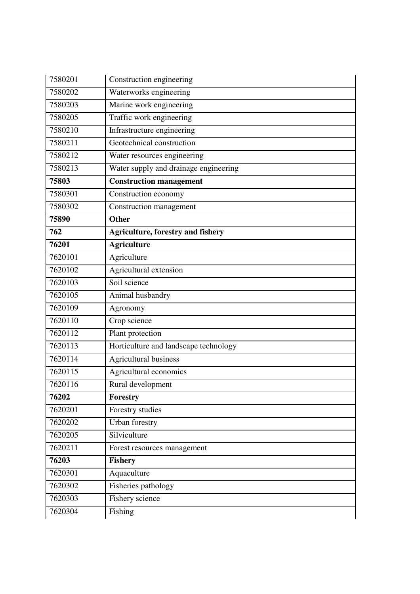| 7580201 | Construction engineering                 |
|---------|------------------------------------------|
| 7580202 | Waterworks engineering                   |
| 7580203 | Marine work engineering                  |
| 7580205 | Traffic work engineering                 |
| 7580210 | Infrastructure engineering               |
| 7580211 | Geotechnical construction                |
| 7580212 | Water resources engineering              |
| 7580213 | Water supply and drainage engineering    |
| 75803   | <b>Construction management</b>           |
| 7580301 | Construction economy                     |
| 7580302 | Construction management                  |
| 75890   | <b>Other</b>                             |
| 762     | <b>Agriculture, forestry and fishery</b> |
| 76201   | <b>Agriculture</b>                       |
| 7620101 | Agriculture                              |
| 7620102 | Agricultural extension                   |
| 7620103 | Soil science                             |
| 7620105 | Animal husbandry                         |
| 7620109 | Agronomy                                 |
| 7620110 | Crop science                             |
| 7620112 | Plant protection                         |
| 7620113 | Horticulture and landscape technology    |
| 7620114 | <b>Agricultural business</b>             |
| 7620115 | Agricultural economics                   |
| 7620116 | Rural development                        |
| 76202   | Forestry                                 |
| 7620201 | Forestry studies                         |
| 7620202 | <b>Urban</b> forestry                    |
| 7620205 | Silviculture                             |
| 7620211 | Forest resources management              |
| 76203   | <b>Fishery</b>                           |
| 7620301 | Aquaculture                              |
| 7620302 | Fisheries pathology                      |
|         |                                          |
| 7620303 | Fishery science                          |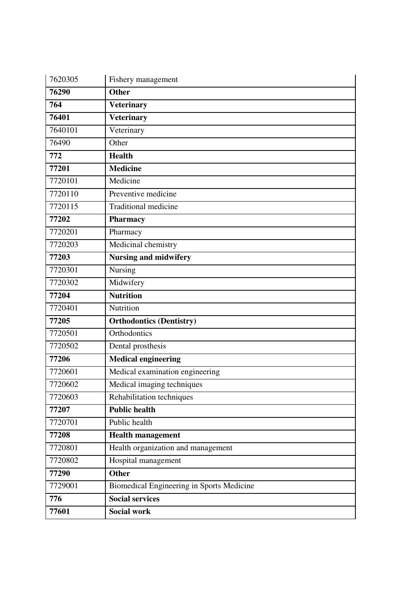| 7620305 | Fishery management                        |
|---------|-------------------------------------------|
| 76290   | <b>Other</b>                              |
| 764     | <b>Veterinary</b>                         |
| 76401   | <b>Veterinary</b>                         |
| 7640101 | Veterinary                                |
| 76490   | Other                                     |
| 772     | <b>Health</b>                             |
| 77201   | <b>Medicine</b>                           |
| 7720101 | Medicine                                  |
| 7720110 | Preventive medicine                       |
| 7720115 | <b>Traditional medicine</b>               |
| 77202   | <b>Pharmacy</b>                           |
| 7720201 | Pharmacy                                  |
| 7720203 | Medicinal chemistry                       |
| 77203   | <b>Nursing and midwifery</b>              |
| 7720301 | Nursing                                   |
| 7720302 | Midwifery                                 |
| 77204   | <b>Nutrition</b>                          |
| 7720401 | Nutrition                                 |
| 77205   | <b>Orthodontics (Dentistry)</b>           |
| 7720501 | Orthodontics                              |
| 7720502 | Dental prosthesis                         |
| 77206   | <b>Medical engineering</b>                |
| 7720601 | Medical examination engineering           |
| 7720602 | Medical imaging techniques                |
| 7720603 | Rehabilitation techniques                 |
| 77207   | <b>Public health</b>                      |
| 7720701 | Public health                             |
| 77208   | <b>Health management</b>                  |
| 7720801 | Health organization and management        |
| 7720802 | Hospital management                       |
| 77290   | <b>Other</b>                              |
| 7729001 | Biomedical Engineering in Sports Medicine |
| 776     | <b>Social services</b>                    |
| 77601   | Social work                               |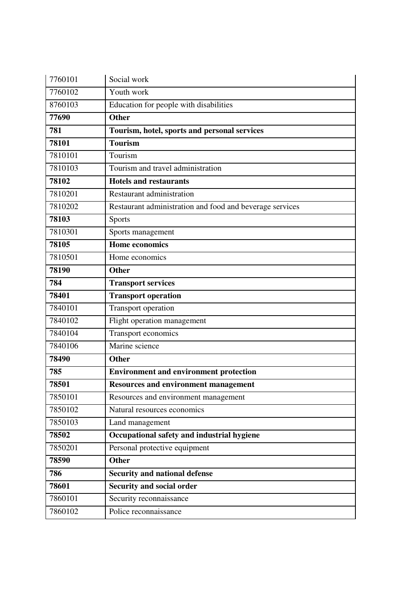| 7760101 | Social work                                              |
|---------|----------------------------------------------------------|
| 7760102 | Youth work                                               |
| 8760103 | Education for people with disabilities                   |
| 77690   | <b>Other</b>                                             |
| 781     | Tourism, hotel, sports and personal services             |
| 78101   | <b>Tourism</b>                                           |
| 7810101 | Tourism                                                  |
| 7810103 | Tourism and travel administration                        |
| 78102   | <b>Hotels and restaurants</b>                            |
| 7810201 | Restaurant administration                                |
| 7810202 | Restaurant administration and food and beverage services |
| 78103   | <b>Sports</b>                                            |
| 7810301 | Sports management                                        |
| 78105   | <b>Home economics</b>                                    |
| 7810501 | Home economics                                           |
| 78190   | <b>Other</b>                                             |
| 784     | <b>Transport services</b>                                |
| 78401   | <b>Transport operation</b>                               |
| 7840101 | Transport operation                                      |
| 7840102 | Flight operation management                              |
| 7840104 | Transport economics                                      |
| 7840106 | Marine science                                           |
| 78490   | <b>Other</b>                                             |
| 785     | <b>Environment and environment protection</b>            |
| 78501   | <b>Resources and environment management</b>              |
| 7850101 | Resources and environment management                     |
|         |                                                          |
| 7850102 | Natural resources economics                              |
| 7850103 | Land management                                          |
| 78502   | Occupational safety and industrial hygiene               |
| 7850201 | Personal protective equipment                            |
| 78590   | <b>Other</b>                                             |
| 786     | <b>Security and national defense</b>                     |
| 78601   | <b>Security and social order</b>                         |
| 7860101 | Security reconnaissance                                  |